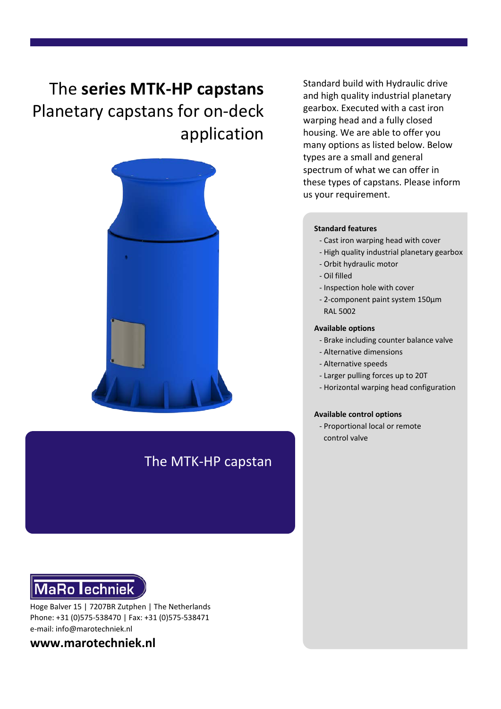# The **series MTK-HP capstans** Planetary capstans for on-deck application



# The MTK-HP capstan

**MaRo lechniek** 

Hoge Balver 15 | 7207BR Zutphen | The Netherlands Phone: +31 (0)575-538470 | Fax: +31 (0)575-538471 e-mail: info@marotechniek.nl

**www.marotechniek.nl**

Standard build with Hydraulic drive and high quality industrial planetary gearbox. Executed with a cast iron warping head and a fully closed housing. We are able to offer you many options as listed below. Below types are a small and general spectrum of what we can offer in these types of capstans. Please inform us your requirement.

#### **Standard features**

- Cast iron warping head with cover
- High quality industrial planetary gearbox
- Orbit hydraulic motor
- Oil filled
- Inspection hole with cover
- 2-component paint system 150μm RAL 5002

#### **Available options**

- Brake including counter balance valve
- Alternative dimensions
- Alternative speeds
- Larger pulling forces up to 20T
- Horizontal warping head configuration

#### **Available control options**

- Proportional local or remote control valve